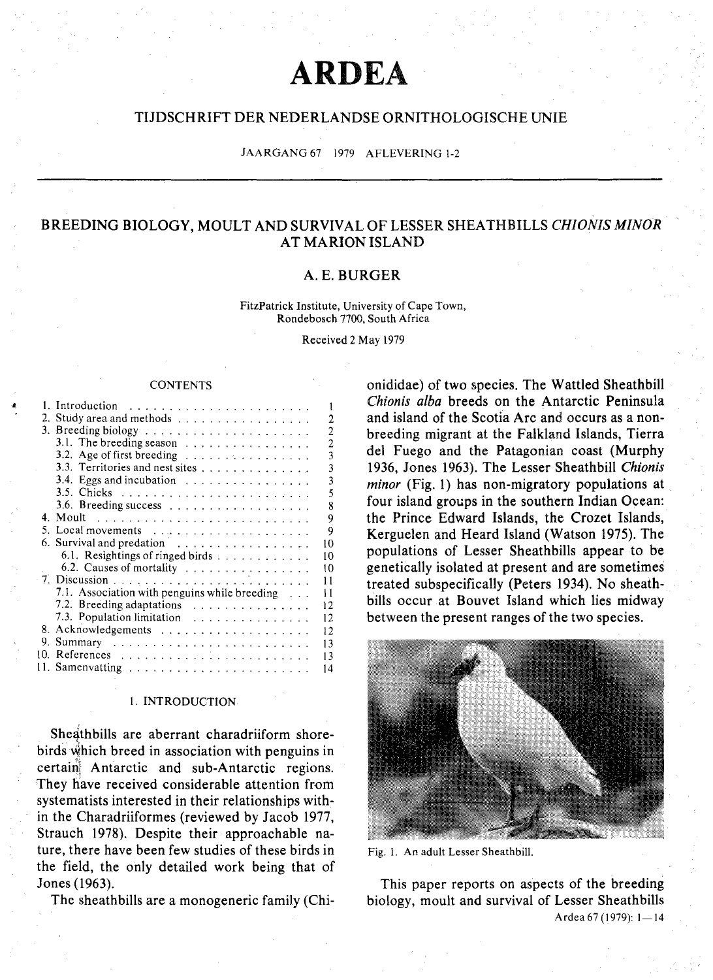# **ARDEA**

# TIJDSCHRIFT DER NEDERLANDSE ORNITHOLOGISCHE UNIE

JAARGANG 67 1979 AFLEVERING 1-2

# BREEDING BIOLOGY, MOULT AND SURVIVAL OF LESSER SHEATHBILLS *CHIONIS MINOR* AT MARION ISLAND

# A.E.BURGER

FitzPatrick Institute, University of Cape Town, Rondebosch 7700, South Africa

Received 2 May 1979

#### **CONTENTS**

| ۵ |     |                                                                                            |
|---|-----|--------------------------------------------------------------------------------------------|
|   |     | 2. Study area and methods<br>2                                                             |
|   |     | 2                                                                                          |
|   |     | 3.1. The breeding season<br>2                                                              |
|   |     | 3.2. Age of first breeding $\ldots \ldots \ldots \ldots \ldots$<br>$\overline{\mathbf{3}}$ |
|   |     | $\overline{\mathbf{3}}$<br>3.3. Territories and nest sites                                 |
|   |     | $\overline{3}$<br>3.4. Eggs and incubation $\ldots \ldots \ldots \ldots \ldots$            |
|   |     | 5                                                                                          |
|   |     | 8<br>3.6. Breeding success $\ldots \ldots \ldots \ldots \ldots \ldots$                     |
|   |     |                                                                                            |
|   |     | $\frac{9}{9}$<br>5. Local movements                                                        |
|   |     | 6. Survival and predation $\ldots \ldots \ldots \ldots \ldots$<br>10                       |
|   |     |                                                                                            |
|   |     | 6.1. Resightings of ringed birds<br>10                                                     |
|   |     | 6.2. Causes of mortality<br>10                                                             |
|   |     | 11                                                                                         |
|   |     | 7.1. Association with penguins while breeding<br>11                                        |
|   |     | 7.2. Breeding adaptations<br>12                                                            |
|   |     | 7.3. Population limitation<br>12                                                           |
|   |     | $\overline{12}$                                                                            |
|   |     | 13                                                                                         |
|   | 10. | 13                                                                                         |
|   |     | 14                                                                                         |
|   |     |                                                                                            |

# I. INTRODUCTION

Sheathbills are aberrant charadriiform shorebirds which breed in association with penguins in certain! Antarctic and sub-Antarctic regions. They have received considerable attention from systematists interested in their relationships within the Charadriiformes (reviewed by Jacob 1977, Strauch 1978). Despite their approachable nature, there have been few studies of these birds in the field, the only detailed work being that of Jones (1963).

The sheathbills are a monogeneric family (Chi-

onididae) of two species. The Wattled Sheathbill *Chionis alba* breeds on the Antarctic Peninsula and island of the Scotia Arc and occurs as a nonbreeding migrant at the Falkland Islands, Tierra del Fuego and the Patagonian coast (Murphy 1936, Jones 1963). The Lesser Sheathbill *Chionls minor* (Fig. 1) has non-migratory populations at four island groups in the southern Indian Ocean: the Prince Edward Islands, the Crozet Islands, Kerguelen and Heard Island (Watson 1975). The populations of Lesser Sheathbills appear to be genetically isolated at present and are sometimes treated subspecifically (Peters 1934). No sheathbills occur at Bouvet Island which lies midway between the present ranges of the two species.



Fig. 1. An adult Lesser Sheathbill.

This paper reports on aspects of the breeding biology, moult and survival of Lesser Sheathbills Ardea 67 (1979): 1-14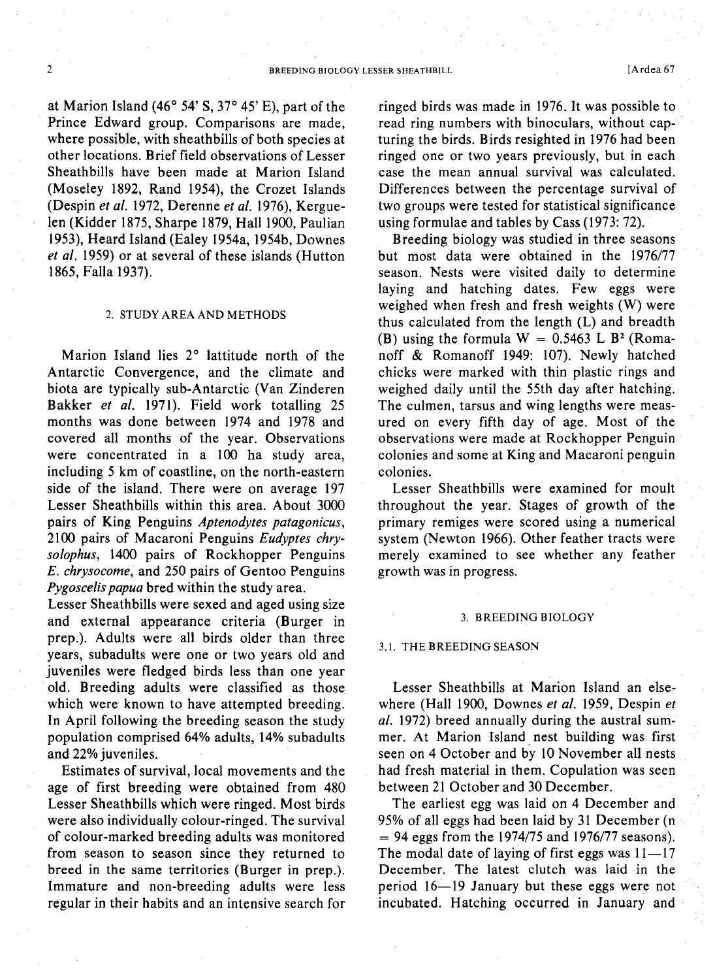at Marion Island (46 $\degree$  54' S, 37 $\degree$  45' E), part of the Prince Edward group. Comparisons are made, where possible, with sheathbills of both species at other locations. Brief field observations of Lesser Sheathbills have been made at Marion Island (Moseley 1892, Rand 1954), the Crozet Islands (Despin *et al.* 1972, Derenne *et al.* 1976), Kerguelen (Kidder 1875, Sharpe 1879, Hall 1900, Paulian 1953), Heard Island (Ealey 1954a, 1954b, Downes *et al.* 1959) or at several of these islands (Hutton 1865, Falla 1937).

#### 2. STUDY AREA AND METHODS

Marion Island lies 2° lattitude north of the Antarctic Convergence, and the climate and biota are typically sub-Antarctic (Van Zinderen Bakker *et al.* 1971). Field work totalling 25 months was done between 1974 and 1978 and covered all months of the year. Observations were concentrated in a 100 ha study area, including 5 km of coastline, on the north-eastern side of the island. There were on average 197 Lesser Sheathbills within this area. About 3000 pairs of King Penguins *Aptenodytes patagonicus,* 2100 pairs of Macaroni Penguins *Eudyptes chrysolophus,* 1400 pairs of Rockhopper Penguins *E. chrysocome,* and 250 pairs of Gentoo Penguins *Pygoscelis papua* bred within the study area.

Lesser Sheathbills were sexed and aged using size and external appearance criteria (Burger in prep.). Adults were all birds older than three years, subadults were one or two years old and juveniles were fledged birds less than one year old. Breeding adults were classified as those which were known to have attempted breeding. In April following the breeding season the study population comprised 64% adults, 14% subadults and 22% juveniles.

Estimates of survival, local movements and the age of first breeding were obtained from 480 Lesser Sheathbills which were ringed. Most birds were also individually colour-ringed. The survival of colour-marked breeding adults was monitored from season to season since they returned to breed in the same territories (Burger in prep.). Immature and non-breeding adults were less regular in their habits and an intensive search for ringed birds was made in 1976. It was possible to read ring numbers with binoculars, without capturing the birds. Birds resighted in 1976 had been ringed one or two years previously, but in each case the mean annual survival was calculated. Differences between the percentage survival of two groups were tested for statistical significance using formulae and tables by Cass (1973: 72).

Breeding biology was studied in three seasons but most data were obtained in the 1976/77 season. Nests were visited daily to determine laying and hatching dates. Few eggs were weighed when fresh and fresh weights (W) were thus calculated from the length (L) and breadth (B) using the formula  $W = 0.5463$  L B<sup>2</sup> (Romanoff & Romanoff 1949: 107). Newly hatched chicks were marked with thin plastic rings and weighed daily until the 55th day after hatching. The culmen, tarsus and wing lengths were measured on every fifth day of age. Most of the observations were made at Rockhopper Penguin colonies and some at King and Macaroni penguin colonies.

Lesser Sheathbills were examined for moult throughout the year. Stages of growth of the primary remiges were scored using a numerical system (Newton 1966). Other feather tracts were merely examined to see whether any feather growth was in progress.

### 3. BREEDING BIOLOGY

#### 3.1. THE BREEDING SEASON

Lesser Sheathbills at Marion Island an elsewhere (Hall 1900, Downes *et al.* 1959, Despin *et al.* 1972) breed annually during the austral summer. At Marion Island nest building was first seen on 4 October and by 10 November all nests had fresh material in them. Copulation was seen between 21 October and 30 December.

The earliest egg was laid on 4 December and 95% of all eggs had been laid by 31 December (n  $= 94$  eggs from the 1974/75 and 1976/77 seasons). The modal date of laying of first eggs was  $11-17$ December. The latest clutch was laid in the period 16-19 January but these eggs were not incubated. Hatching occurred in January and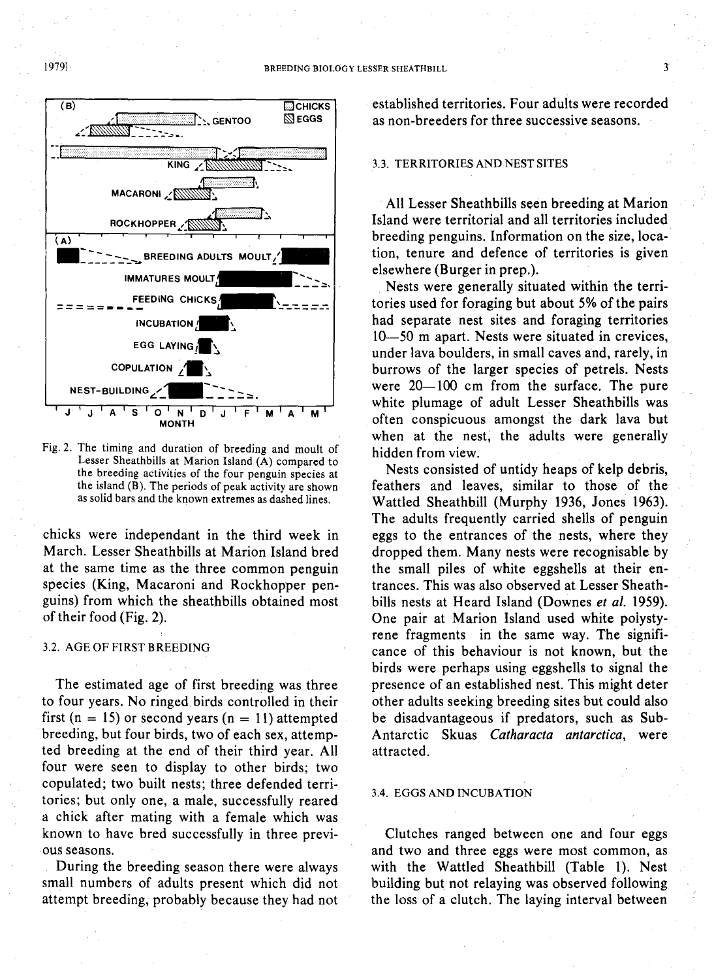

Fig. 2. The timing and duration of breeding and moult of Lesser Sheathbills at Marion Island (A) compared to the breeding activities of the four penguin species at the island (B). The periods of peak activity are shown as solid bars and the known extremes as dashed lines.

chicks were independant in the third week in March. Lesser Sheathbills at Marion Island bred at the same time as the three common penguin species (King, Macaroni and Rockhopper penguins) from which the sheathbills obtained most of their food (Fig. 2).

#### 3.2. AGE OF FIRST BREEDING

The estimated age of first breeding was three to four years. No ringed birds controlled in their first (n = 15) or second years (n = 11) attempted breeding, but four birds, two of each sex, attempted breeding at the end of their third year. All four were seen to display to other birds; two copulated; two built nests; three defended territories; but only one, a male, successfully reared a chick after mating with a female which was known to have bred successfully in three previous seasons.

During the breeding season there were always small numbers of adults present which did not attempt breeding, probably because they had not established territories. Four adults were recorded as non-breeders for three successive seasons.

## 3.3. TERRITORIES AND NEST SITES

All Lesser Sheathbills seen breeding at Marion Island were territorial and all territories included breeding penguins. Information on the size, location, tenure and defence of territories is given elsewhere (Burger in prep.).

Nests were generally situated within the territories used for foraging but about 5% of the pairs had separate nest sites and foraging territories 10-50 m apart. Nests were situated in crevices, under lava boulders, in small caves and, rarely, in burrows of the larger species of petrels. Nests were  $20-100$  cm from the surface. The pure white plumage of adult Lesser Sheathbills was often conspicuous amongst the dark lava but when at the nest, the adults were generally hidden from view.

Nests consisted of untidy heaps of kelp debris, feathers and leaves, similar to those of the Wattled Sheathbill (Murphy 1936, Jones 1963). The adults frequently carried shells of penguin eggs to the entrances of the nests, where they dropped them. Many nests were recognisable by the small piles of white eggshells at their entrances. This was also observed at Lesser Sheathbills nests at Heard Island (Downes *et al. 1959).* One pair at Marion Island used white polystyrene fragments in the same way. The significance of this behaviour is not known, but the birds were perhaps using eggshells to signal the presence of an established nest. This might deter other adults seeking breeding sites but could also be disadvantageous if predators, such as Sub-Antarctic Skuas *Catharacta antarctica,* were attracted.

# 3.4. EGGS AND INCUBATION

Clutches ranged between one and four eggs and two and three eggs were most common, as with the Wattled Sheathbill (Table I). Nest building but not relaying was observed following the loss of a clutch. The laying interval between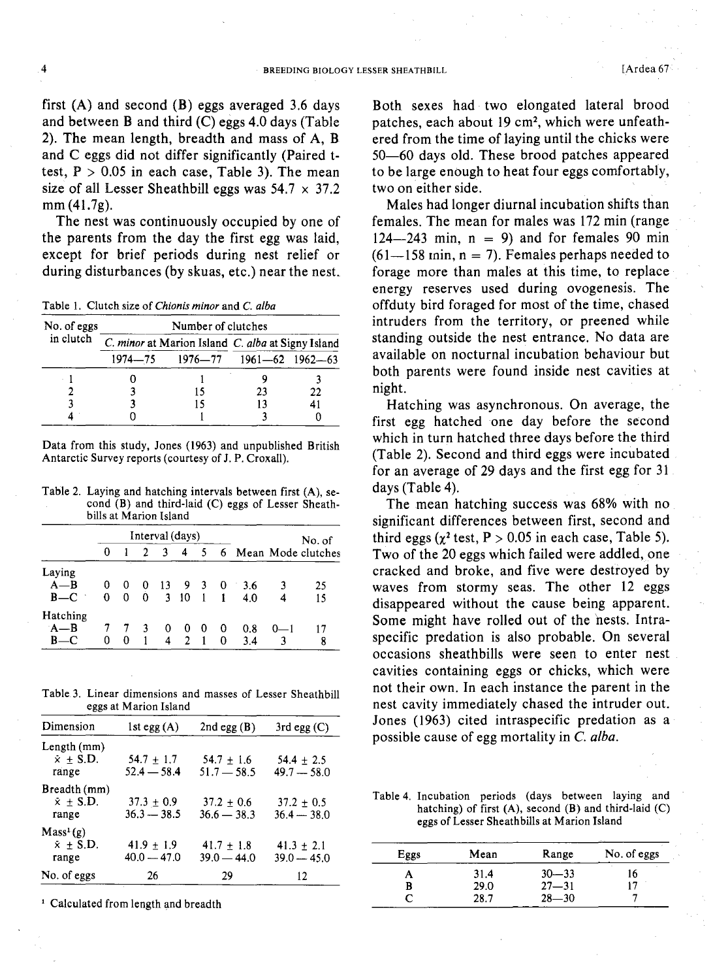first  $(A)$  and second  $(B)$  eggs averaged 3.6 days and between B and third (C) eggs 4.0 days (Table 2). The mean length, breadth and mass of A, B and C eggs did not differ significantly (Paired ttest,  $P > 0.05$  in each case, Table 3). The mean size of all Lesser Sheathbill eggs was  $54.7 \times 37.2$ mm (41.7g).

The nest was continuously occupied by one of the parents from the day the first egg was laid, except for brief periods during nest relief or during disturbances (by skuas, etc.) near the nest.

Table I. Clutch size of *Chionis minor* and C. *alba*

| No. of eggs | Number of clutches |                                 |                                                   |    |  |  |  |  |  |
|-------------|--------------------|---------------------------------|---------------------------------------------------|----|--|--|--|--|--|
| in clutch   |                    |                                 | C. minor at Marion Island C. alba at Signy Island |    |  |  |  |  |  |
|             |                    | 1974—75 1976—77 1961—62 1962—63 |                                                   |    |  |  |  |  |  |
|             |                    |                                 |                                                   |    |  |  |  |  |  |
|             |                    |                                 | 23                                                | 22 |  |  |  |  |  |
|             |                    |                                 | 13                                                | 41 |  |  |  |  |  |
|             |                    |                                 |                                                   |    |  |  |  |  |  |

Data from this study, Jones (1963) and unpublished British Antarctic Survey reports (courtesy of J. P. Croxall).

Table 2. Laying and hatching intervals between first (A), second (B) and third-laid (C) eggs of Lesser Sheathbills at Marion Island

|                              |        | Interval (days) |        |                            |                     |      |                |            |         | No. of                 |
|------------------------------|--------|-----------------|--------|----------------------------|---------------------|------|----------------|------------|---------|------------------------|
|                              | 0      |                 |        | -3                         | $\overline{4}$      |      |                |            |         | 5 6 Mean Mode clutches |
| Laying<br>$A - B$<br>$B - C$ | 0<br>0 | 0<br>0          | 0<br>0 | $\overline{13}$<br>$-3$ 10 | 930                 | $-1$ | $\blacksquare$ | 3.6<br>4.0 |         | 25<br>15               |
| Hatching<br>$A - B$<br>B-    | 0      | 0               | 3      | 0<br>4                     | 0<br>$\overline{2}$ | - 0  | 0<br>$\Omega$  | 0.8<br>3.4 | $0 - 1$ | 8                      |

Table 3. Linear dimensions and masses of Lesser Sheathbill eggs at Marion Island

| Dimension                                          | $1st$ egg $(A)$                 | $2nd$ egg $(B)$                 | $3rd$ egg $(C)$                 |
|----------------------------------------------------|---------------------------------|---------------------------------|---------------------------------|
| Length (mm)<br>$\dot{x} \pm$ S.D.<br>range         | $54.7 + 1.7$<br>$52.4 - 58.4$   | $54.7 + 1.6$<br>$51.7 - 58.5$   | $54.4 \pm 2.5$<br>$49.7 - 58.0$ |
| Breadth (mm)<br>$x + S.D.$<br>range                | $37.3 \pm 0.9$<br>$36.3 - 38.5$ | $37.2 + 0.6$<br>$36.6 - 38.3$   | $37.2 + 0.5$<br>$36.4 - 38.0$   |
| Mass <sup>1</sup> (g)<br>$\bar{x}$ + S.D.<br>range | $41.9 + 1.9$<br>$40.0 - 47.0$   | $41.7 \pm 1.8$<br>$39.0 - 44.0$ | $41.3 \pm 2.1$<br>$39.0 - 45.0$ |
| No. of eggs                                        | 26                              | 29                              | 12                              |

<sup>1</sup> Calculated from length and breadth

Both sexes had two elongated lateral brood patches, each about 19 cm2, which were unfeathered from the time of laying until the chicks were 50-60 days old. These brood patches appeared to be large enough to heat four eggs comfortably, two on either side.

Males had longer diurnal incubation shifts than females. The mean for males was 172 min (range  $124 - 243$  min,  $n = 9$ ) and for females 90 min  $(61-158 \text{ min}, n = 7)$ . Females perhaps needed to forage more than males at this time, to replace energy reserves used during ovogenesis. The offduty bird foraged for most of the time, chased intruders from the territory, or preened while standing outside the nest entrance. No data are available on nocturnal incubation behaviour but both parents were found inside nest cavities at night.

Hatching was asynchronous. On average, the first egg hatched one day before the second which in turn hatched three days before the third (Table 2). Second and third eggs were incubated for an average of 29 days and the first egg for 31 days (Table 4).

The mean hatching success was 68% with no significant differences between first, second and third eggs ( $\chi^2$  test, P > 0.05 in each case, Table 5). Two of the 20 eggs which failed were addled, one cracked and broke, and five were destroyed by waves from stormy seas. The other 12 eggs disappeared without the cause being apparent. Some might have rolled out of the nests. Intraspecific predation is also probable. On several occasions sheathbills were seen to enter nest cavities containing eggs or chicks, which were not their own. In each instance the parent in the nest cavity immediately chased the intruder out. Jones (1963) cited intraspecific predation as a possible cause of egg mortality in C. *alba.*

Table 4. Incubation periods (days between laying and hatching) of first  $(A)$ , second  $(B)$  and third-laid  $(C)$ eggs of Lesser Sheathbills at Marion Island

| Eggs | Mean | Range     | No. of eggs |
|------|------|-----------|-------------|
|      | 31.4 | $30 - 33$ | 16          |
| B    | 29.0 | $27 - 31$ |             |
|      | 28.7 | $28 - 30$ |             |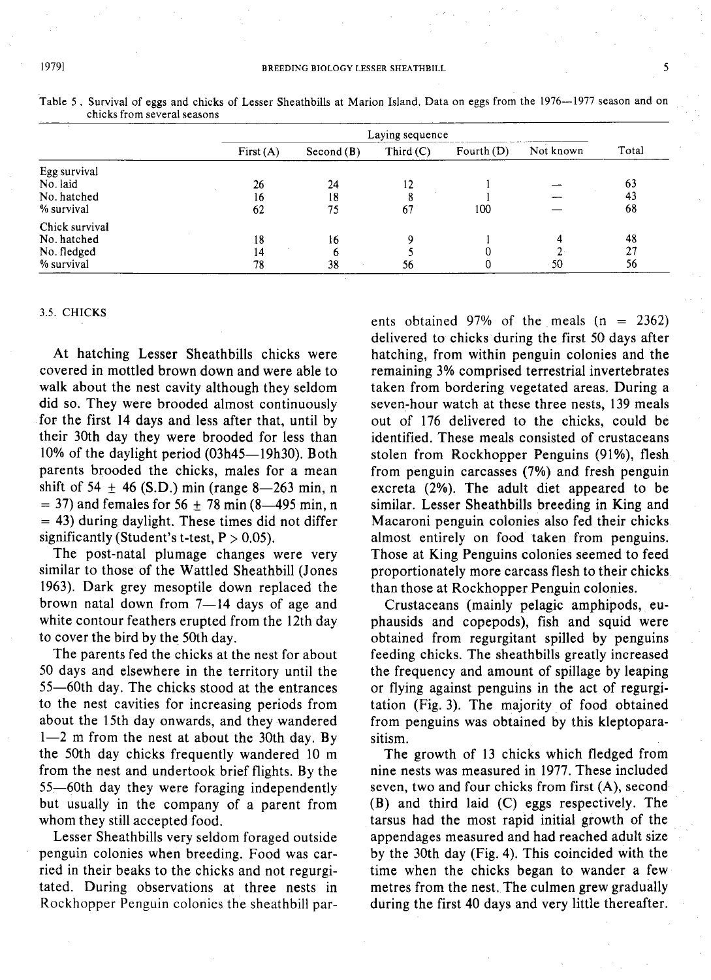|                |             |              | Laying sequence |              |           |       |
|----------------|-------------|--------------|-----------------|--------------|-----------|-------|
|                | First $(A)$ | Second $(B)$ | Third $(C)$     | Fourth $(D)$ | Not known | Total |
| Egg survival   |             |              |                 |              |           |       |
| No. laid       | 26          | 24           | 12              |              |           | 63    |
| No. hatched    | 16          | 18           | 8               |              |           | 43    |
| % survival     | 62          | 75           | 67              | 100          |           | 68    |
| Chick survival |             |              |                 |              |           |       |
| No. hatched    | 18          | 16           | Q               |              |           | 48    |
| No. fledged    | 14          |              |                 |              |           | 27    |
| % survival     | 78          | 38           | 56              |              | $-50$     | 56    |

Table 5. Survival of eggs and chicks of Lesser Sheathbills at Marion Island. Data on eggs from the 1976--1977 season and on chicks from several seasons

### 3.5. CHICKS

At hatching Lesser Sheathbills chicks were covered in mottled brown down and were able to walk about the nest cavity although they seldom did so. They were brooded almost continuously for the first 14 days and less after that, until by their 30th day they were brooded for less than 10% of the daylight period (03h45-19h30). Both parents brooded the chicks, males for a mean shift of 54  $\pm$  46 (S.D.) min (range 8-263 min, n  $=$  37) and females for 56  $\pm$  78 min (8–495 min, n  $=$  43) during daylight. These times did not differ significantly (Student's t-test,  $P > 0.05$ ).

The post-natal plumage changes were very similar to those of the Wattled Sheathbill (Jones 1963). Dark grey mesoptile down replaced the brown natal down from  $7-14$  days of age and white contour feathers erupted from the 12th day to cover the bird by the 50th day.

The parents fed the chicks at the nest for about 50 days and elsewhere in the territory until the 55-60th day. The chicks stood at the entrances to the nest cavities for increasing periods from about the 15th day onwards, and they wandered  $1-2$  m from the nest at about the 30th day. By the 50th day chicks frequently wandered 10 m from the nest and undertook brief flights. By the 55-60th day they were foraging independently but usually in the company of a parent from whom they still accepted food.

Lesser Sheathbills very seldom foraged outside penguin colonies when breeding. Food was carried in their beaks to the chicks and not regurgitated. During observations at three nests in Rockhopper Penguin colonies the sheathbill parents obtained 97% of the meals  $(n = 2362)$ delivered to chicks during the first 50 days after hatching, from within penguin colonies and the remaining 3% comprised terrestrial invertebrates taken from bordering vegetated areas. During a seven-hour watch at these three nests, 139 meals out of 176 delivered to the chicks, could be identified. These meals consisted of crustaceans stolen from Rockhopper Penguins (91%), flesh from penguin carcasses (7%) and fresh penguin excreta (2%). The adult diet appeared to be similar. Lesser Sheathbills breeding in King and Macaroni penguin colonies also fed their chicks almost entirely on food taken from penguins. Those at King Penguins colonies seemed to feed proportionately more carcass flesh to their chicks than those at Rockhopper Penguin colonies.

Crustaceans (mainly pelagic amphipods, euphausids and copepods), fish and squid were obtained from regurgitant spilled by penguins feeding chicks. The sheathbills greatly increased the frequency and amount of spillage by leaping or flying against penguins in the act of regurgitation (Fig. 3). The majority of food obtained from penguins was obtained by this kleptoparasitism.

The growth of 13 chicks which fledged from nine nests was measured in 1977. These included seven, two and four chicks from first (A), second (B) and third laid (C) eggs respectively. The tarsus had the most rapid initial growth of the appendages measured and had reached adult size by the 30th day (Fig. 4). This coincided with the time when the chicks began to wander a few metres from the nest. The culmen grew gradually during the first 40 days and very little thereafter.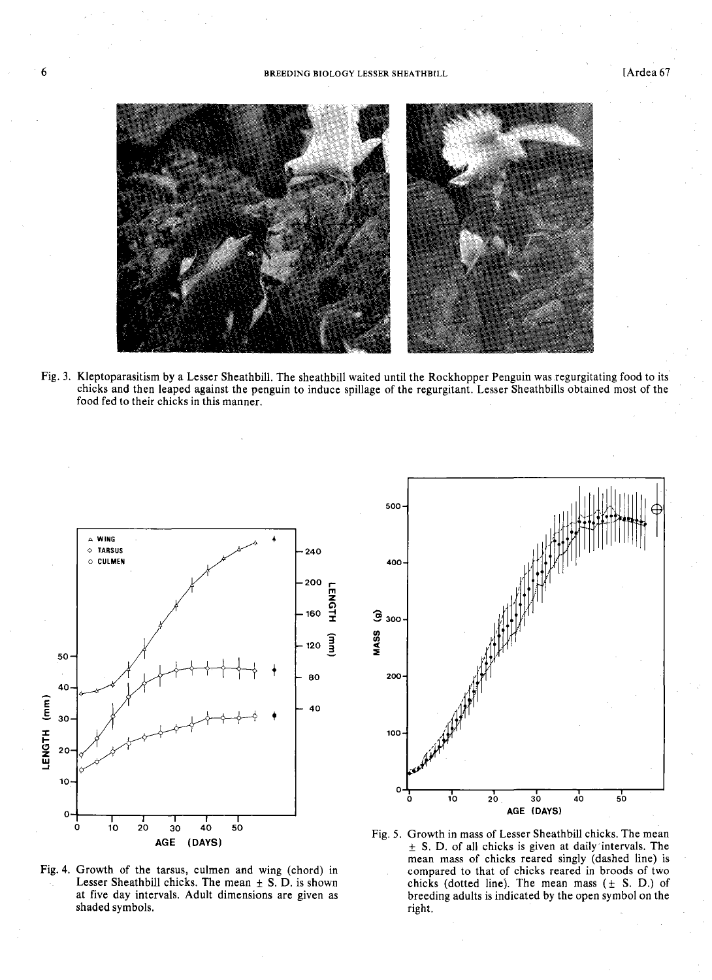#### 6 **6** BREEDING BIOLOGY LESSER SHEATHBILL **Article 19** [Ardea 67



Fig. 3. Kleptoparasitism by a Lesser Sheathbill. The sheathbill waited until the Rockhopper Penguin was regurgitating food to its chicks and then leaped against the penguin to induce spillage of the regurgitant. Lesser Sheathbills obtained most of the food fed to their chicks in this manner.



Fig. 4. Growth of the tarsus, culmen and wing (chord) in Lesser Sheathbill chicks. The mean  $\pm$  S. D. is shown at five day intervals. Adult dimensions are given as shaded symbols.



Fig. 5. Growth in mass of Lesser Sheathbill chicks. The mean  $\pm$  S. D. of all chicks is given at daily intervals. The mean mass of chicks reared singly (dashed line) is compared to that of chicks reared in broods of two chicks (dotted line). The mean mass  $(± S. D.)$  of breeding adults is indicated by the open symbol on the right.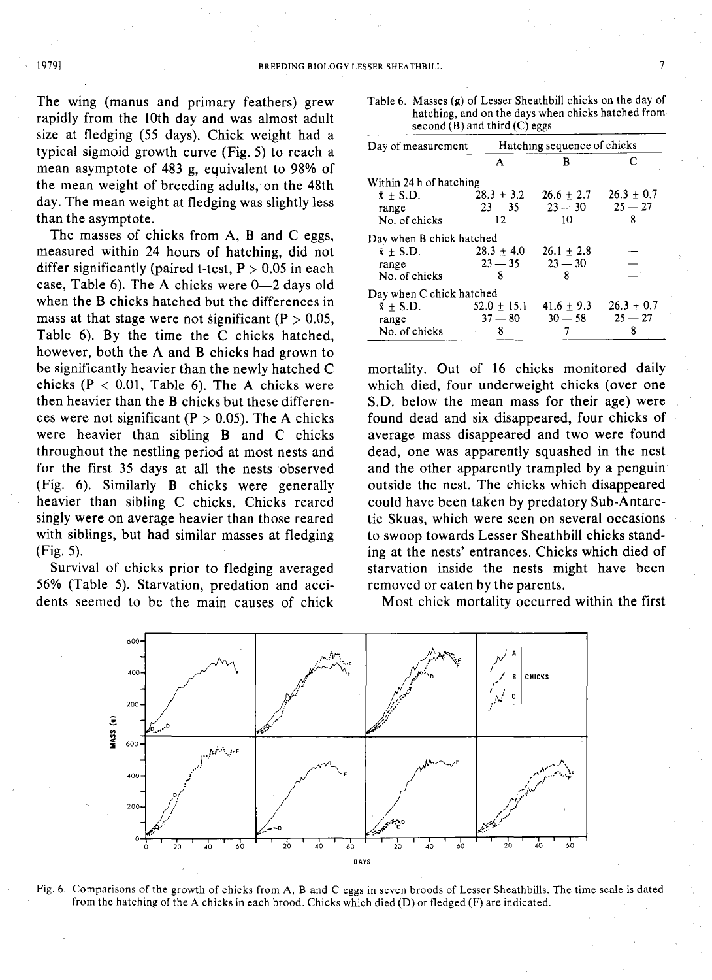The wing (manus and primary feathers) grew rapidly from the 10th day and was almost adult size at fledging (55 days). Chick weight had a typical sigmoid growth curve (Fig. 5) to reach a mean asymptote of 483 g, equivalent to 98% of the mean weight of breeding adults, on the 48th day. The mean weight at fledging was slightly less than the asymptote.

The masses of chicks from A, B and C eggs, measured within 24 hours of hatching, did not differ significantly (paired t-test,  $P > 0.05$  in each case, Table 6). The A chicks were 0-2 days old when the B chicks hatched but the differences in mass at that stage were not significant ( $P > 0.05$ , Table 6). By the time the C chicks hatched, however, both the A and B chicks had grown to be significantly heavier than the newly hatched C chicks ( $P < 0.01$ , Table 6). The A chicks were then heavier than the B chicks but these differences were not significant ( $P > 0.05$ ). The A chicks were heavier than sibling B and C chicks throughout the nestling period at most nests and for the first 35 days at all the nests observed (Fig. 6). Similarly B chicks were generally heavier than sibling C chicks. Chicks reared singly were on average heavier than those reared with siblings, but had similar masses at fledging (Fig. 5).

Survival of chicks prior to fledging averaged 56% (Table 5). Starvation, predation and accidents seemed to be the main causes of chick Table 6. Masses (g) of Lesser Sheathbill chicks on the day of hatching, and on the days when chicks hatched from second  $(B)$  and third  $(C)$  eggs

|                          | second $(B)$ and third $(C)$ eggs |                | natemme, and on the days when emens hatened from |
|--------------------------|-----------------------------------|----------------|--------------------------------------------------|
| Day of measurement       | Hatching sequence of chicks       |                |                                                  |
|                          | А                                 | B              | C                                                |
| Within 24 h of hatching  |                                   |                |                                                  |
| $\bar{x}$ + S.D.         | $28.3 \pm 3.2$                    | $26.6 \pm 2.7$ | $26.3 + 0.7$                                     |
| range                    | $23 - 35$                         | $23 - 30$      | $25 - 27$                                        |
| No. of chicks            | $12 \overline{ }$                 | $10-10$        | ጸ                                                |
| Day when B chick hatched |                                   |                |                                                  |
| $\bar{x} \pm S.D.$       | $28.3 \pm 4.0$                    | $26.1 \pm 2.8$ |                                                  |
| range                    | $23 - 35$                         | $23 - 30$      |                                                  |
| No. of chicks            | 8                                 | 8              |                                                  |
| Day when C chick hatched |                                   |                |                                                  |
| $\bar{x}$ + S.D.         | $52.0 \pm 15.1$                   | $41.6 \pm 9.3$ | $26.3 \pm 0.7$                                   |
| range                    | $37 - 80$                         | $30 - 58$      | $25 - 27$                                        |
| No. of chicks            | 8                                 |                | 8                                                |

mortality. Out of 16 chicks monitored daily which died, four underweight chicks (over one S.D. below the mean mass for their age) were found dead and six disappeared, four chicks of average mass disappeared and two were found dead, one was apparently squashed in the nest and the other apparently trampled by a penguin outside the nest. The chicks which disappeared could have been taken by predatory Sub-Antarctic Skuas, which were seen on several occasions to swoop towards Lesser Sheathbill chicks standing at the nests' entrances. Chicks which died of starvation inside the nests might have been removed or eaten by the parents.

600 r-/;/-"\r <sup>F</sup> ....1: :; 0 .......  $\frac{1}{20}$  40 60 ~'JB CHICKS  $\iota$  :  $\sim$  . C  $\sim$ , and  $l$  ,  $l$  ,  $l$  ,  $l$  ,  $l$  ,  $l$  ,  $l$  ,  $l$ jf:1l<>.....,  $\frac{1}{20}$   $\frac{1}{40}$   $\frac{1}{60}$ *:r···* . '\: fr·:....*o* .' ,."- /? *t.·* '(.,:,':?  $\frac{1}{20}$  40  $\frac{1}{60}$ ....... ...\_-0  $\frac{1}{20}$   $\frac{1}{40}$   $\frac{1}{60}$ ." ." ......0 .., 400 200 ตารร (ข)<br>‱ 400 200 DAYS

Most chick mortality occurred within the first

Fig. 6. Comparisons of the growth of chicks from A, Band C eggs in seven broods of Lesser Sheathbills. The time scale is dated from the hatching of the A chicks in each brood. Chicks which died (D) or fledged (F) are indicated.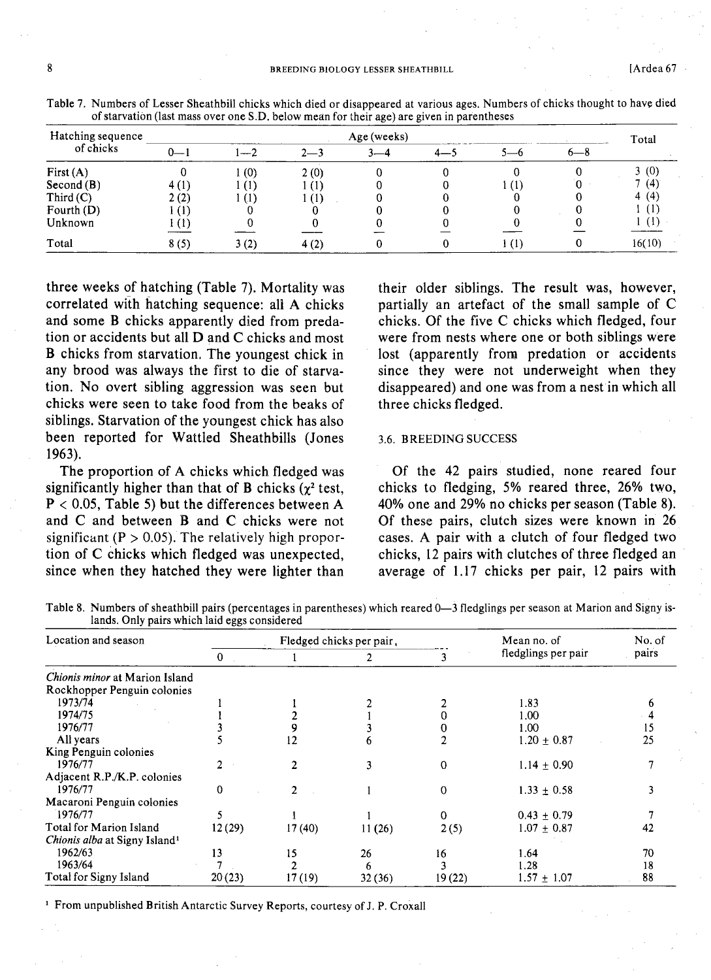| Hatching sequence | Age (weeks)    |      |         |         |  |  |         |        |  |
|-------------------|----------------|------|---------|---------|--|--|---------|--------|--|
| of chicks         | $0-$           | $-$  | $2 - 3$ | $3 - 4$ |  |  | $6 - 8$ | Total  |  |
| First $(A)$       |                | (0)  | 2(0)    |         |  |  |         | 3(0)   |  |
| Second(B)         | 4(1)           | (1)  | (1)     |         |  |  |         | (4)    |  |
| Third $(C)$       | 2(2)           | (1)  | -01     |         |  |  |         | 4(4)   |  |
| Fourth $(D)$      | (I)            |      |         |         |  |  |         | U.,    |  |
| Unknown           | $^{\circ}$ (1) |      |         |         |  |  |         |        |  |
| Total             | 8(5)           | 3(2) | 4(2)    |         |  |  |         | 16(10) |  |

Table 7. Numbers of Lesser Sheathbill chicks which died or disappeared at various ages. Numbers of chicks thought to have died of starvation (last mass over one S.D. below mean for their age) are given in parentheses

three weeks of hatching (Table 7). Mortality was correlated with hatching sequence: all A chicks and some B chicks apparently died from predation or accidents but all D and C chicks and most B chicks from starvation. The youngest chick in any brood was always the first to die of starvation. No overt sibling aggression was seen but chicks were seen to take food from the beaks of siblings. Starvation of the youngest chick has also been reported for Wattled Sheathbills (Jones 1963).

The proportion of A chicks which fledged was significantly higher than that of B chicks  $(\chi^2 \text{ test},$  $P < 0.05$ , Table 5) but the differences between A and C and between Band C chicks were not significant ( $P > 0.05$ ). The relatively high proportion of C chicks which fledged was unexpected, since when they hatched they were lighter than

their older siblings. The result was, however, partially an artefact of the small sample of C chicks. Of the five C chicks which fledged, four were from nests where one or both siblings were lost (apparently from predation or accidents since they were not underweight when they disappeared) and one was from a nestin which all three chicks fledged.

# 3.6. BREEDING SUCCESS

Of the 42 pairs studied, none reared four chicks to fledging, 5% reared three, 26% two, 40% one and 29% no chicks per season (Table 8). Of these pairs, clutch sizes were known in 26 cases. A pair with a clutch of four fledged two chicks, 12 pairs with clutches of three fledged an average of 1.17 chicks per pair, 12 pairs with

Table 8. Numbers of sheathbill pairs (percentages in parentheses) which reared 0-3 fledglings per season at Marion and Signy islands. Only pairs which laid eggs considered

| Location and season                       |                | Fledged chicks per pair, |        |          | Mean no. of         | No. of |  |
|-------------------------------------------|----------------|--------------------------|--------|----------|---------------------|--------|--|
|                                           | $\overline{0}$ |                          | 2      |          | fledglings per pair | pairs  |  |
| <i>Chionis minor</i> at Marion Island     |                |                          |        |          |                     |        |  |
| Rockhopper Penguin colonies               |                |                          |        |          |                     |        |  |
| 1973/74                                   |                |                          |        |          | 1.83                |        |  |
| 1974/75                                   |                |                          |        |          | 1.00                |        |  |
| 1976/77                                   |                |                          |        |          | 1.00                | 15     |  |
| All years                                 |                | 12                       | n      |          | $1.20 + 0.87$       | 25     |  |
| King Penguin colonies                     |                |                          |        |          |                     |        |  |
| 1976/77                                   |                |                          | 3      | 0        | $1.14 \pm 0.90$     |        |  |
| Adjacent R.P./K.P. colonies               |                |                          |        |          |                     |        |  |
| 1976/77                                   | $\Omega$       | $\overline{\mathcal{L}}$ |        | $\Omega$ | $1.33 \pm 0.58$     |        |  |
| Macaroni Penguin colonies                 |                |                          |        |          |                     |        |  |
| 1976/77                                   |                |                          |        | 0        | $0.43 \pm 0.79$     |        |  |
| Total for Marion Island                   | 12(29)         | 17(40)                   | 11(26) | 2(5)     | $1.07 \pm 0.87$     | 42     |  |
| Chionis alba at Signy Island <sup>1</sup> |                |                          |        |          |                     |        |  |
| 1962/63                                   | 13             | 15                       | 26     | 16       | 1.64                | 70     |  |
| 1963/64                                   |                |                          | 6      |          | 1.28                | 18     |  |
| Total for Signy Island                    | 20(23)         | 17(19)                   | 32(36) | 19(22)   | $1.57 + 1.07$       | 88     |  |

<sup>1</sup> From unpublished British Antarctic Survey Reports, courtesy of J. P. Croxall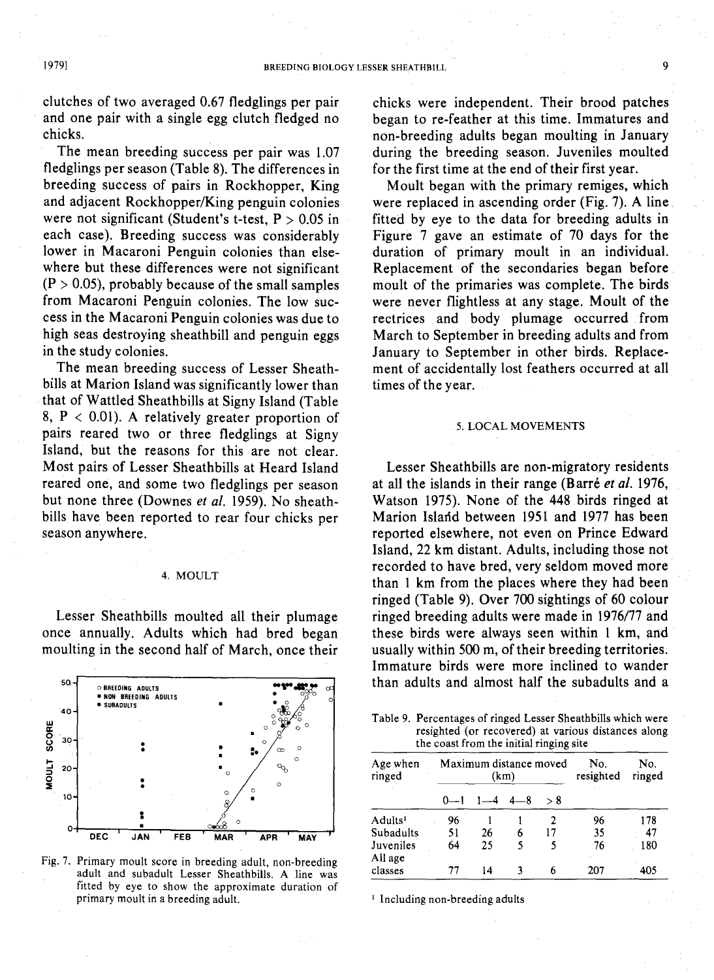clutches of two averaged 0.67 fledglings per pair and one pair with a single egg clutch fledged no chicks.

The mean breeding success per pair was 1.07 fledglings per season (Table 8). The differences in breeding success of pairs in Rockhopper, King and adjacent Rockhopper/King penguin colonies were not significant (Student's t-test,  $P > 0.05$  in each case). Breeding success was considerably lower in Macaroni Penguin colonies than elsewhere but these differences were not significant  $(P > 0.05)$ , probably because of the small samples from Macaroni Penguin colonies. The low success in the Macaroni Penguin colonies was due to high seas destroying sheathbill and penguin eggs in the study colonies.

The mean breeding success of Lesser Sheathbills at Marion Island was significantly lower than that of Wattled Sheathbills at Signy Island (Table 8,  $P < 0.01$ ). A relatively greater proportion of pairs reared two or three fledglings at Signy Island, but the reasons for this are not clear. Most pairs of Lesser Sheathbills at Heard Island reared one, and some two fledglings per season but none three (Downes *et al.* 1959). No sheathbills have been reported to rear four chicks per season anywhere.

#### 4. MOULT

Lesser Sheathbills moulted all their plumage once annually. Adults which had bred began moulting in the second half of March, once their



Fig.. 7. Primary moult score in breeding adult, non-breeding adult and subadult Lesser Sheathbills. A line was fitted by eye to show the approximate duration of primary moult in a breeding adult.

chicks were independent. Their brood patches began to re-feather at this time. Immatures and non-breeding adults began moulting in January during the breeding season. Juveniles moulted for the first time at the end of their first year.

Moult began with the primary remiges, which were replaced in ascending order (Fig. 7). A line. fitted by eye to the data for breeding adults in Figure 7 gave an estimate of 70 days for the duration of primary moult in an individual. Replacement of the secondaries began before moult of the primaries was complete. The birds were never flightless at any stage. Moult of the rectrices and body plumage occurred from March to September in breeding adults and from January to September in other birds. Replacement of accidentally lost feathers occurred at all times of the year.

#### 5. LOCAL MOVEMENTS

Lesser Sheathbills are non-migratory residents at all the islands in their range (Barre *etal. 1976,* Watson 1975). None of the 448 birds ringed at Marion Island between 1951 and 1977 has been reported elsewhere, not even on Prince Edward Island, 22 km distant. Adults, including those not recorded to have bred, very seldom moved more than 1 km from the places where they had been ringed (Table 9). Over 700 sightings of 60 colour ringed breeding adults were made in 1976/77 and these birds were always seen within 1 km, and usually within 500 m, of their breeding territories. Immature birds were more inclined to wander than adults and almost half the subadults and a

Table 9. Percentages of ringed Lesser Sheathbills which were resighted (or recovered) at various distances along the coast from the initial ringing site

| Age when<br>ringed   |         | Maximum distance moved<br>(km) | No.<br>resighted | No.<br>ringed |     |     |
|----------------------|---------|--------------------------------|------------------|---------------|-----|-----|
|                      | $0 - 1$ | $1 - 4$                        | $4 - 8$          | > 8           |     |     |
| Adults <sup>1</sup>  | 96      |                                |                  | 2             | 96  | 178 |
| Subadults            | 51      | 26                             | 6                | 17            | 35  | 47  |
| Juveniles<br>All age | 64      | 25                             | 5                | 5             | 76  | 180 |
| classes              | 77      | 14                             |                  |               | 207 | 405 |

<sup>1</sup> Including non-breeding adults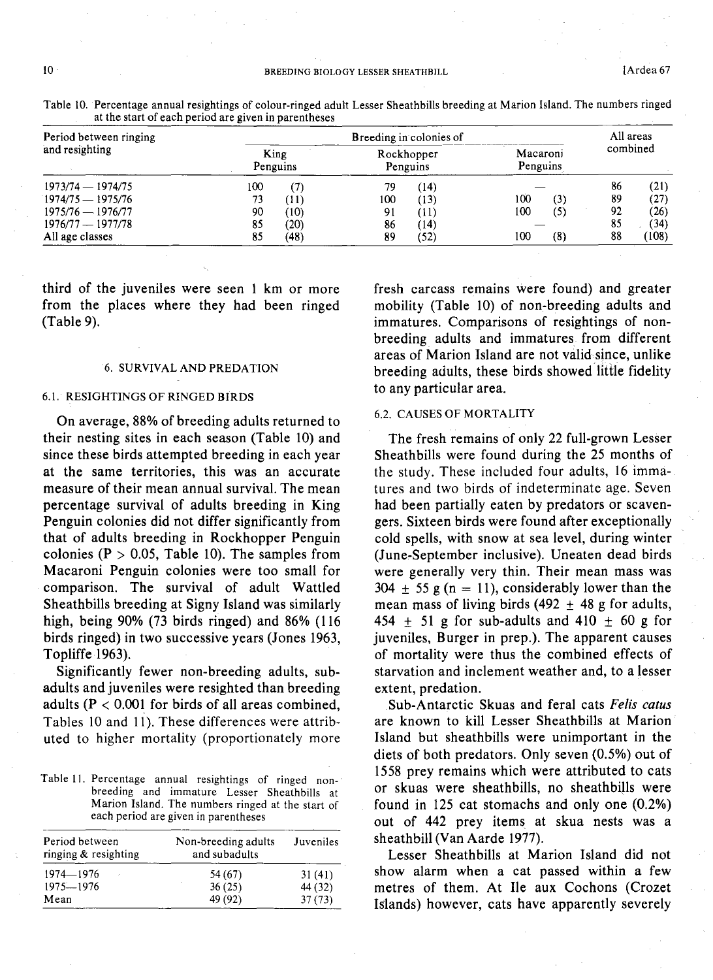| Period between ringing | Breeding in colonies of |      |                        |      |                      |                   |          | All areas |  |
|------------------------|-------------------------|------|------------------------|------|----------------------|-------------------|----------|-----------|--|
| and resighting         | King<br>Penguins        |      | Rockhopper<br>Penguins |      | Macaroni<br>Penguins |                   | combined |           |  |
| 1973/74 - 1974/75      | 100                     | (7)  | 79                     | (14) |                      |                   | 86       | (21)      |  |
| $1974/75 - 1975/76$    | 73                      | (11) | 100                    | (13) | 100                  | (3)               | 89       | (27)      |  |
| $1975/76 - 1976/77$    | 90                      | (10) | 91                     | T1)  | 100                  | $\left( 5\right)$ | 92       | (26)      |  |
| $1976/77 - 1977/78$    | 85                      | (20) | 86                     | (14) |                      |                   | 85       | (34)      |  |
| All age classes        | 85                      | (48) | 89                     | (52) | 100                  | (8)               | 88       | (108)     |  |

Table 10. Percentage annual resightings of colour-ringed adult Lesser Sheathbills breeding at Marion Island. The numbers ringed at the start of each period are given in parentheses

third of the juveniles were seen 1 km or more from the places where they had been ringed (Table 9).

#### 6. SURVIVAL AND PREDATION

#### 6.1. RESIGHTINGS OF RINGED BIRDS

On average, 88% of breeding adults returned to their nesting sites in each season (Table 10) and since these birds attempted breeding in each year at the same territories, this was an accurate measure of their mean annual survival. The mean percentage survival of adults breeding in King Penguin colonies did not differ significantly from that of adults breeding in Rockhopper Penguin colonies ( $P > 0.05$ , Table 10). The samples from Macaroni Penguin colonies were too small for comparison. The survival of adult Wattled Sheathbills breeding at Signy Island was similarly high, being 90% (73 birds ringed) and 86% (116 birds ringed) in two successive years (Jones 1963, Topliffe 1963).

Significantly fewer non-breeding adults, subadults and juveniles were resighted than breeding adults ( $P < 0.001$  for birds of all areas combined, Tables 10 and 11). These differences were attributed to higher mortality (proportionately more

Table II. Percentage annual resightings of ringed nonbreeding and immature Lesser Sheathbills at Marion Island. The numbers ringed at the start of each period are given in parentheses

| Period between<br>ringing & resighting | Non-breeding adults<br>and subadults | Juveniles |
|----------------------------------------|--------------------------------------|-----------|
| 1974-1976                              | 54 (67)                              | 31(41)    |
| $1975 - 1976$                          | 36(25)                               | 44 (32)   |
| Mean                                   | 49 (92)                              | 37(73)    |

fresh carcass remains were found) and greater mobility (Table 10) of non-breeding adults and immatures. Comparisons of resightings of nonbreeding adults and immatures from different areas of Marion Island are not validsince, unlike breeding adults, these birds showed little fidelity to any particular area.

# 6.2. CAUSES OF MORTALITY

The fresh remains of only 22 full-grown Lesser Sheathbills were found during the 25 months of the study. These included four adults, 16 immatures and two birds of indeterminate age. Seven had been partially eaten by predators or scavengers. Sixteen birds were found after exceptionally cold spells, with snow at sea level, during winter (June-September inclusive). Uneaten dead birds were generally very thin. Their mean mass was  $304 \pm 55$  g (n = 11), considerably lower than the mean mass of living birds (492  $\pm$  48 g for adults, 454  $\pm$  51 g for sub-adults and 410  $\pm$  60 g for juveniles, Burger in prep.). The apparent causes of mortality were thus the combined effects of starvation and inclement weather and, to a lesser extent, predation.

Sub-Antarctic Skuas and feral cats *Felis catus* are known to kill Lesser Sheathbills at Marion Island but sheathbills were unimportant in the diets of both predators. Only seven (0.5%) out of 1558 prey remains which were attributed to cats or skuas were sheathbills, no sheathbijls were found in 125 cat stomachs and only one (0.2%) out of 442 prey items, at skua nests was a sheathbill (Van Aarde 1977).

Lesser Sheathbills at Marion Island did not show alarm when a cat passed within a few metres of them. At Ile aux Cochons (Crozet Islands) however, cats have apparently severely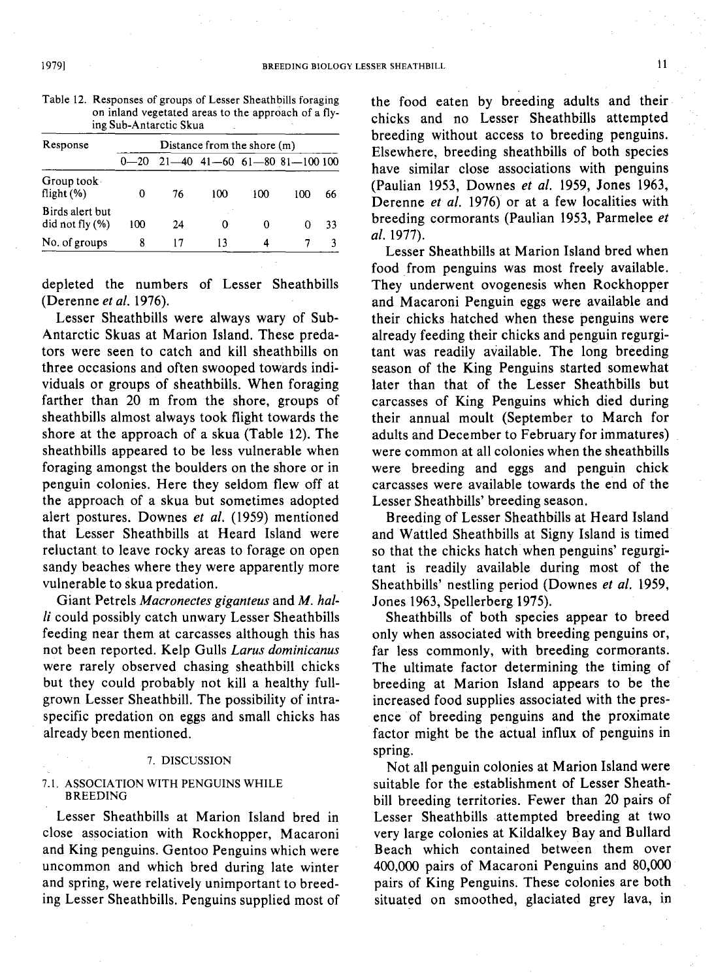| Response                              | Distance from the shore (m) |    |     |     |                                |    |
|---------------------------------------|-----------------------------|----|-----|-----|--------------------------------|----|
|                                       | $0 - 20$                    |    |     |     | $21-40$ 41-60 61-80 81-100 100 |    |
| Group took<br>flight $(\% )$          | 0                           | 76 | 100 | 100 | 100                            | 66 |
| Birds alert but<br>did not fly $(\%)$ | 100                         | 24 | Ω   | 0   |                                | 33 |
| No. of groups                         | 8                           | 17 | 13  | 4   |                                | 3  |

Table 12. Responses of groups of Lesser Sheathbills foraging on inland vegetated areas to the approach of a flying Sub-Antarctic Skua

depleted the numbers of Lesser Sheathbills (Derenne *et al. 1976).*

Lesser Sheathbills were always wary of Sub-Antarctic Skuas at Marion Island. These predators were seen to catch and kill sheathbills on three occasions and often swooped towards individuals or groups of sheathbills. When foraging farther than 20 m from the shore, groups of sheathbills almost always took flight towards the shore at the approach of a skua (Table 12). The sheathbills appeared to be less vulnerable when foraging amongst the boulders on the shore or in penguin colonies. Here they seldom flew off at the approach of a skua but sometimes adopted alert postures. Downes *et al.* (1959) mentioned that Lesser Sheathbills at Heard Island were reluctant to leave rocky areas to forage on open sandy beaches where they were apparently more vulnerable to skua predation.

Giant Petrels *Macronectes giganteus* and *M. hal* $li$  could possibly catch unwary Lesser Sheathbills feeding near them at carcasses although this has not been reported. Kelp Gulls *Larus dominicanus* were rarely observed chasing sheathbill chicks but they could probably not kill a healthy fullgrown Lesser Sheathbill. The possibility of intraspecific predation on eggs and small chicks has already been mentioned.

#### 7. DISCUSSION

#### 7.1. ASSOCIATION WITH PENGUINS WHILE **BREEDING**

Lesser Sheathbills at Marion Island bred in close association with Rockhopper, Macaroni and King penguins. Gentoo Penguins which were uncommon and which bred during late winter and spring, were relatively unimportant to breeding Lesser Sheathbills. Penguins supplied most of the food eaten by breeding adults and their chicks and no Lesser Sheathbills attempted breeding without access to breeding penguins. Elsewhere, breeding sheathbills of both species have similar close associations with penguins (Paulian 1953, Downes *et al.* 1959, Jones 1963, Derenne *et al.* 1976) or at a few localities with breeding cormorants (Paulian 1953, Parmelee *et al. 1977).*

Lesser Sheathbills at Marion Island bred when food from penguins was most freely available. They underwent ovogenesis when Rockhopper and Macaroni Penguin eggs were available and their chicks hatched when these penguins were already feeding their chicks and penguin regurgitant was readily available. The long breeding season of the King Penguins started somewhat later than that of the Lesser Sheathbills but carcasses of King Penguins which died during their annual moult (September to March for adults and December to February for immatures) were common at all colonies when the sheathbills were breeding and eggs and penguin chick carcasses were available towards the end of the Lesser Sheathbills' breeding season.

Breeding of Lesser Sheathbills at Heard Island and Wattled Sheathbills at Signy Island is timed so that the chicks hatch when penguins' regurgitant is readily available during most of the Sheathbills' nestling period (Downes *et al. 1959,* Jones 1963, Spellerberg 1975).

Sheathbills of both species appear to breed only when associated with breeding penguins or, far less commonly, with breeding cormorants. The ultimate factor determining the timing of breeding at Marion Island appears to be the increased food supplies associated with the presence of breeding penguins and the proximate factor might be the actual influx of penguins in spring.

Not all penguin colonies at Marion Island were suitable for the establishment of Lesser Sheathbill breeding territories. Fewer than 20 pairs of Lesser Sheathbills attempted breeding at two very large colonies at Kildalkey Bay and Bullard Beach which contained between them over 400,000 pairs of Macaroni Penguins and 80,000 pairs of King Penguins. These colonies are both situated on smoothed, glaciated grey lava, in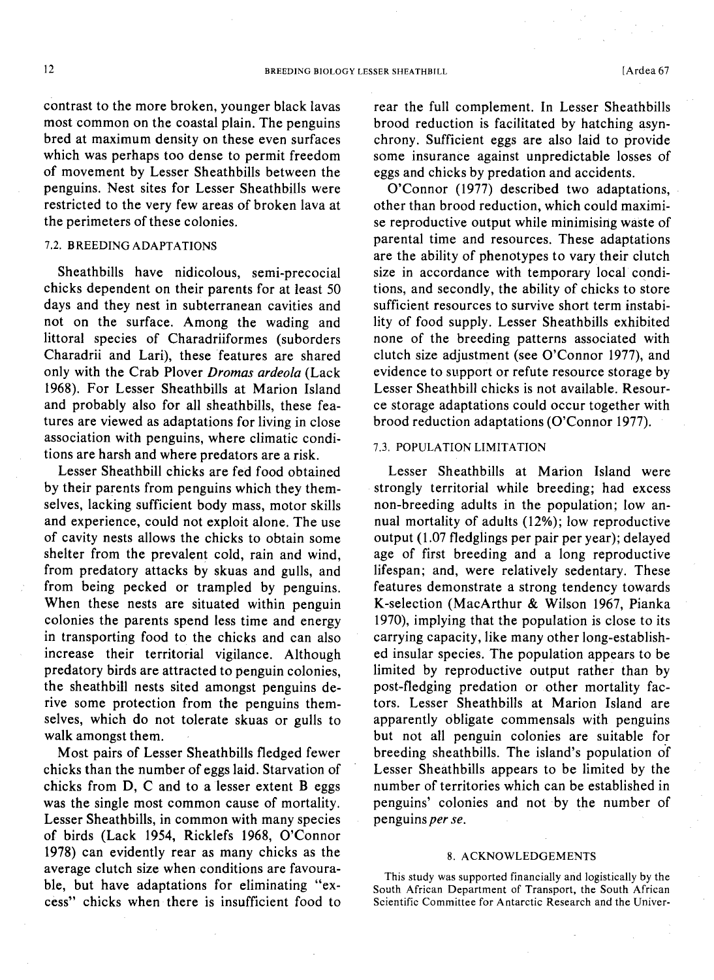contrast to the more broken, younger black lavas most common on the coastal plain. The penguins bred at maximum density on these even surfaces which was perhaps too dense to permit freedom of movement by Lesser Sheathbills between the penguins. Nest sites for Lesser Sheathbills were restricted to the very few areas of broken lava at the perimeters of these colonies.

# 7.2. BREEDING ADAPTATIONS

Sheathbills have nidicolous, semi-precocial chicks dependent on their parents for at least 50 days and they nest in subterranean cavities and not on the surface. Among the wading and littoral species of Charadriiformes (suborders Charadrii and Lari), these features are shared only with the Crab Plover *Dromas ardeo/a* (Lack 1968). For Lesser Sheathbills at Marion Island and probably also for all sheathbills, these features are viewed as adaptations for living in close association with penguins, where climatic conditions are harsh and where predators are a risk.

Lesser Sheathbill chicks are fed food obtained by their parents from penguins which they themselves, lacking sufficient body mass, motor skills and experience, could not exploit alone. The use of cavity nests allows the chicks to obtain some shelter from the prevalent cold, rain and wind, from predatory attacks by skuas and gulls, and from being pecked or trampled by penguins. When these nests are situated within penguin colonies the parents spend less time and energy in transporting food to the chicks and can also increase their territorial vigilance. Although predatory birds are attracted to penguin colonies, the sheathbill nests sited amongst penguins derive some protection from the penguins themselves, which do not tolerate skuas or gulls to walk amongst them.

Most pairs of Lesser Sheathbills fledged fewer chicks than the number of eggs laid. Starvation of chicks from D, C and to a lesser extent B eggs was the single most common cause of mortality. Lesser Sheathbills, in common with many species of birds (Lack 1954, Ricklefs 1968, O'Connor 1978) can evidently rear as many chicks as the average clutch size when conditions are favourable, but have adaptations for eliminating "excess" chicks when there is insufficient food to

rear the full complement. In Lesser Sheathbills brood reduction is facilitated by hatching asynchrony. Sufficient eggs are also laid to provide some insurance against unpredictable losses of eggs and chicks by predation and accidents.

O'Connor (1977) described two adaptations, other than brood reduction, which could maximise reproductive output while minimising waste of parental time and resources. These adaptations are the ability of phenotypes to vary their clutch size in accordance with temporary local conditions, and secondly, the ability of chicks to store sufficient resources to survive short term instability of food supply. Lesser Sheathbills exhibited none of the breeding patterns associated with clutch size adjustment (see O'Connor 1977), and evidence to support or refute resource storage by Lesser Sheathbill chicks is not available. Resource storage adaptations could occur together with brood reduction adaptations (O'Connor 1977).

## 7.3. POPULATION LIMITATION

Lesser Sheathbills at Marion Island were strongly territorial while breeding; had excess non-breeding adults in the population; low annual mortality of adults (12%); low reproductive output (1.07 fledglings per pair per year); delayed age of first breeding and a long reproductive lifespan; and, were relatively sedentary. These features demonstrate a strong tendency towards K-selection (MacArthur & Wilson 1967, Pianka 1970), implying that the population is close to its carrying capacity, like many other long-established insular species. The population appears to be limited by reproductive output rather than by post-fledging predation or other mortality factors. Lesser Sheathbills at Marion Island are apparently obligate commensals with penguins but not all penguin colonies are suitable for breeding sheathbills. The island's population of Lesser Sheathbills appears to be limited by the number of territories which can be established in penguins' colonies and not by the number of penguins *per se.*

#### 8. ACKNOWLEDGEMENTS

This study was supported financially and logistically by the South African Department of Transport, the South African Scientific Committee for Antarctic Research and the Univer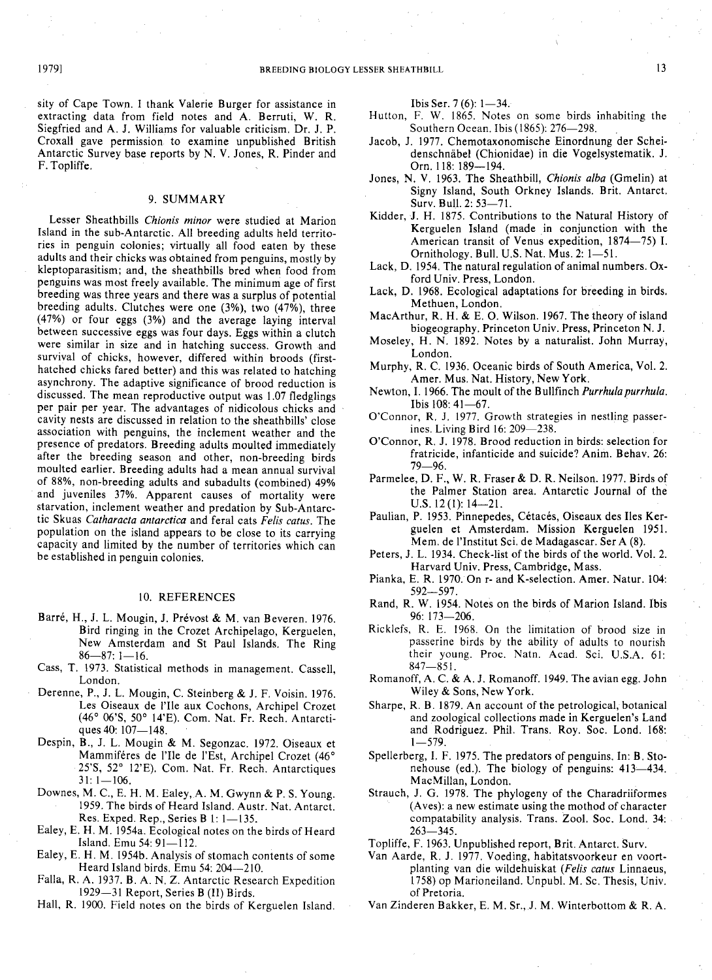sity of Cape Town. I thank Valerie Burger for assistance in extracting data from field notes and A. Berruti, W. R. Siegfried and A. J. Williams for valuable criticism. Dr. J. P. Croxall gave permission. to examine unpublished British Antarctic Survey base reports by N. V. Jones, R. Pinder and F. Topliffe.

#### 9. SUMMARY

Lesser Sheathbills *Chionis minor* were studied at Marion Island in the sub-Antarctic. All breeding adults held territories in penguin colonies; virtually all food eaten by these adults and their chicks was obtained from penguins, mostly by kleptoparasitism; and, the sheathbills bred when food from penguins was most freely available. The minimum age of first breeding was three years and there was a surplus of potential breeding adults. Clutches were one (3%), two (47%), three (47%) or four eggs (3%) and the average laying interval between successive eggs was four days. Eggs within a clutch were similar in size and in hatching success. Growth and survival of chicks, however, differed within broods (firsthatched chicks fared better) and this was related to hatching asynchrony. The adaptive significance of brood reduction is discussed. The mean reproductive output was 1.07 fledglings per pair per year. The advantages of nidicolous chicks and cavity nests are discussed in relation to the sheathbills' close association with penguins, the inclement weather and the presence of predators. Breeding adults moulted immediately after the breeding season and other, non-breeding birds moulted earlier. Breeding adults had a mean annual survival of 88%, non-breeding adults and subadults (combined) 49% and juveniles 37%. Apparent causes of mortality were starvation, inclement weather and predation by Sub-Antarctic Skuas *Catharacta antarctica* and feral cats *Felis catus.* The population on the island appears to be close to its carrying capacity and limited by the number of territories which can be established in penguin colonies.

#### 10. REFERENCES

- Barré, H., J. L. Mougin, J. Prévost & M. van Beveren. 1976. Bird ringing in the Crozet Archipelago, Kerguelen, New Amsterdam and St Paul Islands. The Ring  $86 - 87: 1 - 16.$
- Cass, T. 1973. Statistical methods in management. Cassell, London.
- Derenne, P., J. L. Mougin, C. Steinberg & J. F. Voisin. 1976. Les Oiseaux de l'I1e aux Cochons, Archipel Crozet (46 <sup>0</sup> 06'S, 50 <sup>0</sup> 14'E). Com. Nat. Fr. Rech. Antarctiques 40: 107-148.
- Despin, B., J. L. Mougin & M. Segonzac. 1972. Oiseaux et Mammiféres de l'Ile de l'Est, Archipel Crozet (46° 25'S, 52° 12'E). Com. Nat. Fr. Rech. Antarctiques  $31: 1 - 106.$
- Downes, M. C., E. H. M. Ealey, A. M. Gwynn & P. S. Young. 1959. The birds of Heard Island. Austr. Nat. Antarct. Res. Exped. Rep., Series B 1: 1-135.
- Ealey, E. H. M. 1954a. Ecological notes on the birds of Heard Island. Emu 54: 91-112.
- Ealey, E. H. M. 1954b. Analysis of stomach contents of some Heard Island birds. Emu 54: 204-210.
- Falla, R. A. 1937. B. A. N. Z. Antarctic Research Expedition 1929-31 Report, Series B (II) Birds.
- Hall, R. 1900. Field notes on the birds of Kerguelen Island.

Ibis Ser.  $7(6)$ : 1-34.

- Hutton, F. W. 1865. Notes on some birds inhabiting the Southern Ocean. Ibis (1865): 276-298.
- Jacob, J. 1977. Chemotaxonomische Einordnung der Scheidenschnäbel (Chionidae) in die Vogelsystematik. J. Orn. 118: 189-194.
- Jones, N. V. 1963. The Sheathbill, *Chionis alba* (Gmelin) at Signy Island, South Orkney Islands. Brit. Antarct. Surv. Bull. 2: 53-71.
- Kidder, J. H. 1875. Contributions to the Natural History of Kerguelen Island (made in conjunction with the American transit of Venus expedition, 1874-75) I. Ornithology. Bull. U.S. Nat. Mus.  $2: 1 - 51$ .
- Lack, D. 1954. The natural regulation of animal numbers. Oxford Univ. Press, London.
- Lack, D. 1968. Ecological adaptations for breeding in birds. Methuen, London.
- MacArthur, R. H. & E. O. Wilson. 1967. The theory of island biogeography. Princeton Univ. Press, Princeton N. J.
- Moseley, H. N. 1892. Notes by a naturalist. John Murray, London.
- Murphy, R. C. 1936. Oceanic birds of South America, Vol. 2. Amer. Mus. Nat. History, New York.
- Newton, I. 1966. The moult of the Bullfinch *Purrhula purrhula*. Ibis 108: 41-67.
- O'Connor, R. J. 1977. Growth strategies in nestling passerines. Living Bird 16: 209-238.
- O'Connor, R. J. 1978. Brood reduction in birds: selection for fratricide, infanticide and suicide? Anim. Behav. 26: 79-96.
- Parmelee, D. F., W. R. Fraser & D. R. Neilson. 1977. Birds of the Palmer Station area. Antarctic Journal of the  $U.S. 12(1): 14-21.$
- Paulian, P. 1953. Pinnepedes, Cétacés, Oiseaux des Iles Kerguelen et Amsterdam. Mission Kerguelen 1951. Mem. de l'Institut Sci. de Madagascar. Ser A (8).
- Peters, J. L. 1934. Check-list of the birds of the world. Vol. 2. Harvard Univ. Press, Cambridge, Mass.
- Pianka, E. R. 1970. On r- and K-selection. Amer. Natur. 104: 592-597.
- Rand, R. W. 1954. Notes on the birds of Marion Island. Ibis 96: 173-206.
- Ricklefs, R. E. 1968. On the limitation of brood size in passerine birds by the ability of adults to nourish their young. Proc. Natn. Acad. Sci. U.S.A. 61:  $847 - 851$ .
- Romanoff, A. C. & A. J. Romanoff. 1949. The avian egg. John Wiley & Sons, New York.
- Sharpe, R. B. 1879. An account of the petrological, botanical and zoological collections made in Kerguelen's Land and Rodriguez. Phil. Trans. Roy. Soc. Lond. 168:  $1 - 579$
- Spellerberg, I. F. 1975. The predators of penguins. In: B. Stonehouse (ed.). The biology of penguins: 413-434. MacMillan, London.
- Strauch, J. G. 1978. The phylogeny of the Charadriiformes (Aves): a new estimate using the mothod of character compatability analysis. Trans. Zool. Soc. Lond. 34:  $263 - 345$ .
- Topliffe, F. 1963. Unpublished report, Brit. Antarct. Surv.
- Van Aarde, R. J. 1977. Voeding, habitatsvoorkeur en voortplanting van die wildehuiskat *(Felis catus* Linnaeus, 1758) op Marioneiland. Unpubl. M. Sc. Thesis, Univ. of Pretoria.
- Van Zinderen Bakker, E. M. Sr.,J. M. Winterbottom & R. A.